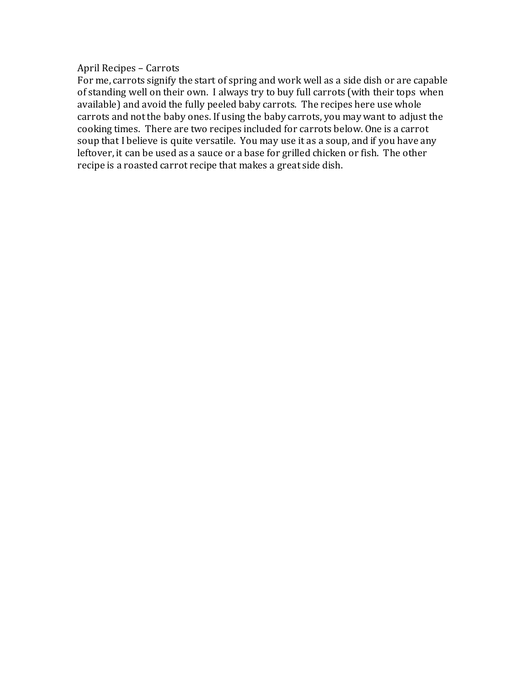## April Recipes – Carrots

For me, carrots signify the start of spring and work well as a side dish or are capable of standing well on their own. I always try to buy full carrots (with their tops when available) and avoid the fully peeled baby carrots. The recipes here use whole carrots and not the baby ones. If using the baby carrots, you may want to adjust the cooking times. There are two recipes included for carrots below. One is a carrot soup that I believe is quite versatile. You may use it as a soup, and if you have any leftover, it can be used as a sauce or a base for grilled chicken or fish. The other recipe is a roasted carrot recipe that makes a great side dish.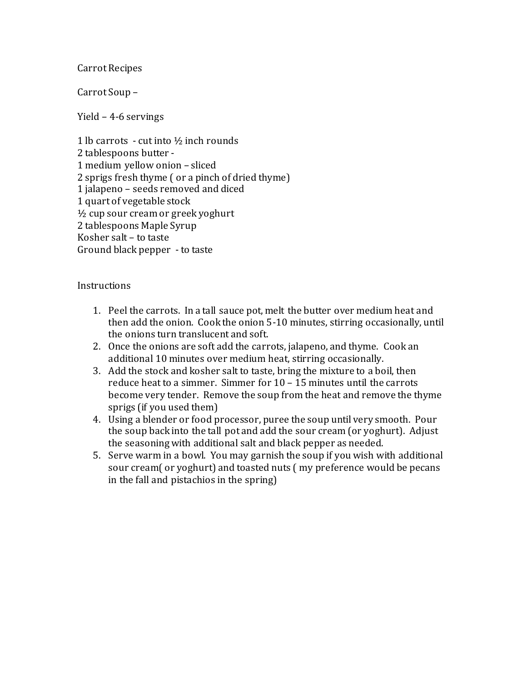## Carrot Recipes

Carrot Soup –

Yield – 4-6 servings

1 lb carrots - cut into  $\frac{1}{2}$  inch rounds 2 tablespoons butter - 1 medium yellow onion – sliced 2 sprigs fresh thyme ( or a pinch of dried thyme) 1 jalapeno – seeds removed and diced 1 quart of vegetable stock ½ cup sour cream or greek yoghurt 2 tablespoons Maple Syrup Kosher salt – to taste Ground black pepper -to taste

## **Instructions**

- 1. Peel the carrots. In a tall sauce pot, melt the butter over medium heat and then add the onion. Cook the onion 5-10 minutes, stirring occasionally, until the onions turn translucent and soft.
- 2. Once the onions are soft add the carrots, jalapeno, and thyme. Cook an additional 10 minutes over medium heat, stirring occasionally.
- 3. Add the stock and kosher salt to taste, bring the mixture to a boil, then reduce heat to a simmer. Simmer for 10 – 15 minutes until the carrots become very tender. Remove the soup from the heat and remove the thyme sprigs (if you used them)
- 4. Using a blender or food processor, puree the soup until very smooth. Pour the soup back into the tall pot and add the sour cream (or yoghurt). Adjust the seasoning with additional salt and black pepper as needed.
- 5. Serve warm in a bowl. You may garnish the soup if you wish with additional sour cream( or yoghurt) and toasted nuts ( my preference would be pecans in the fall and pistachios in the spring)